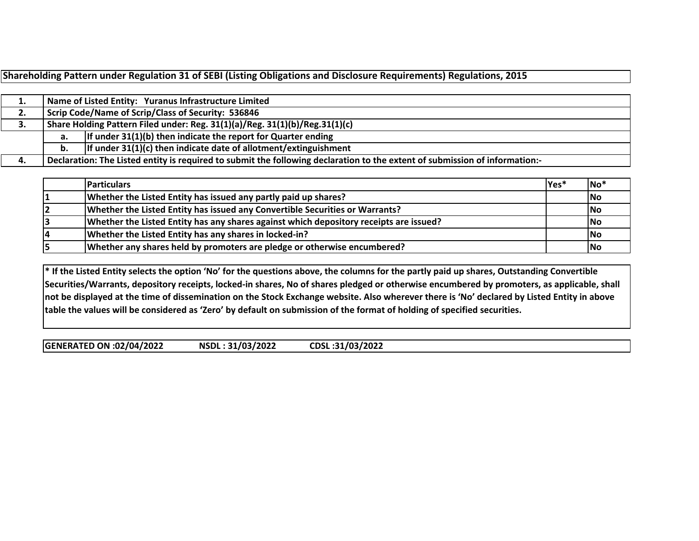|     |                                                                             | Shareholding Pattern under Regulation 31 of SEBI (Listing Obligations and Disclosure Requirements) Regulations, 2015        |  |  |  |  |  |  |  |  |  |
|-----|-----------------------------------------------------------------------------|-----------------------------------------------------------------------------------------------------------------------------|--|--|--|--|--|--|--|--|--|
|     |                                                                             |                                                                                                                             |  |  |  |  |  |  |  |  |  |
| 1.  |                                                                             | Name of Listed Entity: Yuranus Infrastructure Limited                                                                       |  |  |  |  |  |  |  |  |  |
| 2.  | Scrip Code/Name of Scrip/Class of Security: 536846                          |                                                                                                                             |  |  |  |  |  |  |  |  |  |
| 3.  | Share Holding Pattern Filed under: Reg. 31(1)(a)/Reg. 31(1)(b)/Reg.31(1)(c) |                                                                                                                             |  |  |  |  |  |  |  |  |  |
|     | а.                                                                          | If under $31(1)(b)$ then indicate the report for Quarter ending                                                             |  |  |  |  |  |  |  |  |  |
|     | b.                                                                          | If under $31(1)(c)$ then indicate date of allotment/extinguishment                                                          |  |  |  |  |  |  |  |  |  |
| -4. |                                                                             | Declaration: The Listed entity is required to submit the following declaration to the extent of submission of information:- |  |  |  |  |  |  |  |  |  |

| <b>Particulars</b>                                                                     | lYes* | $ No*$     |
|----------------------------------------------------------------------------------------|-------|------------|
| Whether the Listed Entity has issued any partly paid up shares?                        |       | <b>No</b>  |
| Whether the Listed Entity has issued any Convertible Securities or Warrants?           |       | <b>No</b>  |
| Whether the Listed Entity has any shares against which depository receipts are issued? |       | <b>INo</b> |
| Whether the Listed Entity has any shares in locked-in?                                 |       | <b>INo</b> |
| Whether any shares held by promoters are pledge or otherwise encumbered?               |       | <b>INo</b> |

\* If the Listed Entity selects the option 'No' for the questions above, the columns for the partly paid up shares, Outstanding Convertible Securities/Warrants, depository receipts, locked-in shares, No of shares pledged or otherwise encumbered by promoters, as applicable, shall not be displayed at the time of dissemination on the Stock Exchange website. Also wherever there is 'No' declared by Listed Entity in above table the values will be considered as 'Zero' by default on submission of the format of holding of specified securities.

**GENERATED ON:02/04/2022 NSDL : 31/03/2022 CDSL :31/03/2022**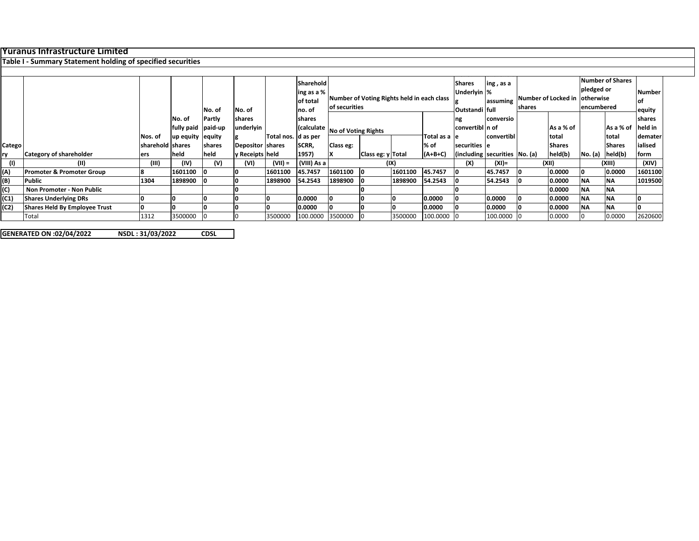# **Yuranus Infrastructure Limited**

#### **Table I ‐ Summary Statement holding of specified securities**

|        |                               |                    |                              | No. of | No. of               |                       | <b>Sharehold</b><br>ing as a %<br>of total<br>Ino. of | Number of Voting Rights held in each class<br>of securities |                   |               | <b>Shares</b><br>Underlyin %<br>Outstandi full |                                 | ing, as a<br>Number of Locked in<br>assuming<br>shares |       | Number of Shares<br>pledged or<br>lotherwise<br>encumbered |                      | Number<br>lof<br>equity |                    |
|--------|-------------------------------|--------------------|------------------------------|--------|----------------------|-----------------------|-------------------------------------------------------|-------------------------------------------------------------|-------------------|---------------|------------------------------------------------|---------------------------------|--------------------------------------------------------|-------|------------------------------------------------------------|----------------------|-------------------------|--------------------|
|        |                               |                    | No. of<br>fully paid paid-up | Partly | Ishares<br>underlyin |                       | shares                                                | (calculate No of Voting Rights                              |                   |               |                                                | ng<br>convertibl In of          | conversio                                              |       | As a % of                                                  |                      | As a % of               | Ishares<br>held in |
|        |                               | Nos. of            | up equity equity             |        |                      | Total nos.   d as per |                                                       |                                                             |                   | Total as a le |                                                | convertibl                      |                                                        | total |                                                            | total                | demater                 |                    |
| Catego |                               | lsharehold Ishares |                              | shares | Depositor shares     |                       | SCRR,                                                 | Class eg:                                                   |                   |               | % of                                           | securities le                   |                                                        |       | <b>Shares</b>                                              |                      | <b>Shares</b>           | lialised           |
|        | Category of shareholder       | ers                | held                         | held   | y Receipts held      |                       | 1957)                                                 |                                                             | Class eg: y Total |               | $(A+B+C)$                                      | (including securities   No. (a) |                                                        |       | held(b)                                                    | $No. (a)$ $hel(d(b)$ |                         | form               |
|        | (11)                          | (III)              | (IV)                         | (V)    | (VI)                 | $(VII) =$             | (VIII) As a                                           |                                                             |                   | (IX)          |                                                | (X)                             | (XI)=                                                  |       | (XII)                                                      |                      | (XIII)                  | (XIV)              |
| (A)    | Promoter & Promoter Group     |                    | 1601100                      |        |                      | 1601100               | 45.7457                                               | 1601100                                                     |                   | 1601100       | 45.7457                                        |                                 | 45.7457                                                |       | 0.0000                                                     |                      | 0.0000                  | 1601100            |
| (B)    | Public                        | 1304               | 1898900 0                    |        |                      | 1898900               | 54.2543                                               | 1898900                                                     |                   | 1898900       | 54.2543                                        |                                 | 54.2543                                                |       | 0.0000                                                     | <b>NA</b>            | <b>NA</b>               | 1019500            |
| (C)    | Non Promoter - Non Public     |                    |                              |        |                      |                       |                                                       |                                                             |                   |               |                                                |                                 |                                                        |       | 0.0000                                                     | <b>NA</b>            | <b>NA</b>               |                    |
| (C1)   | <b>Shares Underlying DRs</b>  |                    |                              |        |                      |                       | 0.0000                                                |                                                             |                   |               | 0.0000                                         |                                 | 0.0000                                                 |       | 0.0000                                                     | <b>NA</b>            | <b>INA</b>              |                    |
| (C2)   | Shares Held By Employee Trust |                    |                              |        |                      |                       | 0.0000                                                |                                                             |                   |               | 0.0000                                         |                                 | 0.0000                                                 |       | 0.0000                                                     | <b>NA</b>            | <b>NA</b>               |                    |
|        | Total                         | 1312               | 3500000                      |        |                      | 3500000               | 100.0000 3500000                                      |                                                             |                   | 3500000       | 100.0000 0                                     |                                 | 100.0000 0                                             |       | 0.0000                                                     |                      | 0.0000                  | 2620600            |

**GENERATED ON:02/04/2022 NSDL : 31/03/2022 CDSL**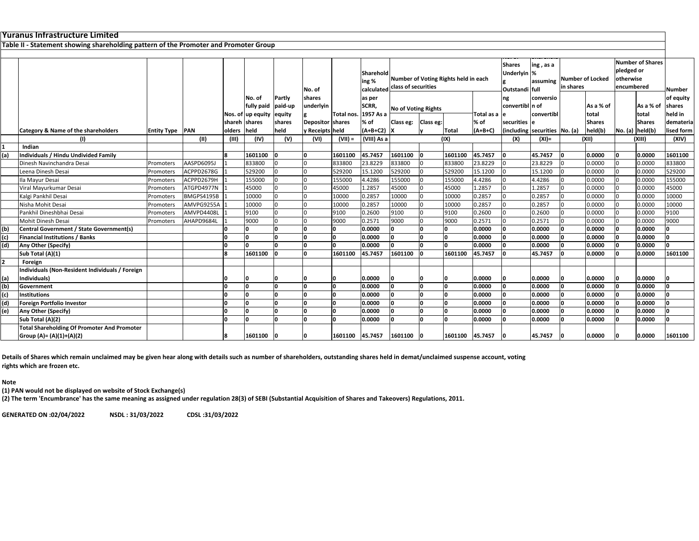|                | Yuranus Infrastructure Limited                                                       |                        |              |               |                   |         |                  |              |                                |                            |           |                                      |               |                      |                               |           |                         |                      |                         |               |
|----------------|--------------------------------------------------------------------------------------|------------------------|--------------|---------------|-------------------|---------|------------------|--------------|--------------------------------|----------------------------|-----------|--------------------------------------|---------------|----------------------|-------------------------------|-----------|-------------------------|----------------------|-------------------------|---------------|
|                | Table II - Statement showing shareholding pattern of the Promoter and Promoter Group |                        |              |               |                   |         |                  |              |                                |                            |           |                                      |               |                      |                               |           |                         |                      |                         |               |
|                |                                                                                      |                        |              |               |                   |         |                  |              |                                |                            |           |                                      |               |                      |                               |           |                         |                      |                         |               |
|                |                                                                                      |                        |              |               |                   |         |                  |              |                                |                            |           |                                      |               | <b>Shares</b>        |                               |           |                         |                      | <b>Number of Shares</b> |               |
|                |                                                                                      |                        |              |               |                   |         |                  |              | Sharehold                      |                            |           |                                      |               | Underlyin %          | ing, as a                     |           |                         | pledged or           |                         |               |
|                |                                                                                      |                        |              |               |                   |         |                  |              | ing %                          |                            |           | Number of Voting Rights held in each |               |                      | assuming                      |           | <b>Number of Locked</b> | otherwise            |                         |               |
|                |                                                                                      |                        |              |               |                   |         | No. of           |              | calculated class of securities |                            |           |                                      |               |                      |                               | in shares |                         | encumbered           |                         | <b>Number</b> |
|                |                                                                                      |                        |              |               | No. of            | Partly  | shares           |              | as per                         |                            |           |                                      |               | Outstandi full<br>ng | conversio                     |           |                         |                      |                         | of equity     |
|                |                                                                                      |                        |              |               | fully paid        | paid-up | underlyin        |              | SCRR,                          |                            |           |                                      |               | convertibl n of      |                               |           | As a % of               |                      | As a % of               | shares        |
|                |                                                                                      |                        |              |               | Nos. of up equity | equity  |                  | Total nos.   | 1957 As a                      | <b>No of Voting Rights</b> |           |                                      | Total as a le |                      | convertib                     |           | total                   |                      | total                   | held in       |
|                |                                                                                      |                        |              | shareh shares |                   | shares  | Depositor shares |              | % of                           | Class eg:                  | Class eg: |                                      | % of          | securities le        |                               |           | <b>Shares</b>           |                      | <b>Shares</b>           | demateria     |
|                | Category & Name of the shareholders                                                  | <b>Entity Type PAN</b> |              | olders        | held              | held    | y Receipts held  |              | $(A+B+C2)$ X                   |                            |           | Total                                | $(A+B+C)$     |                      | (including securities No. (a) |           | held(b)                 | $No. (a)$ held $(b)$ |                         | lised form    |
|                | (1)                                                                                  |                        | (II)         | (III)         | (IV)              | (V)     | (VI)             | $(VII) =$    | (VIII) As a                    |                            |           | (IX)                                 |               | (X)                  | $(XI) =$                      |           | (X  )                   |                      | (XIII)                  | (XIV)         |
|                | Indian                                                                               |                        |              |               |                   |         |                  |              |                                |                            |           |                                      |               |                      |                               |           |                         |                      |                         |               |
| (a)            | Individuals / Hindu Undivided Family                                                 |                        |              | 8             | 1601100           | ١n      | I∩               | 1601100      | 45.7457                        | 1601100                    |           | 1601100                              | 45.7457       |                      | 45.7457                       | n         | 0.0000                  | ١n                   | 0.0000                  | 1601100       |
|                | Dinesh Navinchandra Desai                                                            | Promoters              | AASPD6095J   |               | 833800            |         |                  | 833800       | 23.8229                        | 833800                     |           | 833800                               | 23.8229       |                      | 23.8229                       |           | 0.0000                  |                      | 0.0000                  | 833800        |
|                | Leena Dinesh Desai                                                                   | Promoters              | ACPPD2678G   |               | 529200            |         |                  | 529200       | 15.1200                        | 529200                     |           | 529200                               | 15.1200       |                      | 15.1200                       |           | 0.0000                  |                      | 0.0000                  | 529200        |
|                | Ila Mayur Desai                                                                      | Promoters              | ACPPD2679H   |               | 155000            |         |                  | 155000       | 4.4286                         | 155000                     |           | 155000                               | 4.4286        |                      | 4.4286                        |           | 0.0000                  | ın                   | 0.0000                  | 155000        |
|                | Viral Mayurkumar Desai                                                               | Promoters              | ATGPD4977N   |               | 45000             |         |                  | 45000        | 1.2857                         | 45000                      |           | 45000                                | 1.2857        |                      | 1.2857                        |           | 0.0000                  |                      | 0.0000                  | 45000         |
|                | Kalgi Pankhil Desai                                                                  | Promoters              | BMGPS4195B   |               | 10000             |         |                  | 10000        | 0.2857                         | 10000                      |           | 10000                                | 0.2857        |                      | 0.2857                        |           | 0.0000                  |                      | 0.0000                  | 10000         |
|                | Nisha Mohit Desai                                                                    | Promoters              | AMVPG9255A 1 |               | 10000             |         |                  | 10000        | 0.2857                         | 10000                      |           | 10000                                | 0.2857        |                      | 0.2857                        |           | 0.0000                  |                      | 0.0000                  | 10000         |
|                | Pankhil Dineshbhai Desai                                                             | Promoters              | AMVPD4408L   |               | 9100              |         |                  | 9100         | 0.2600                         | 9100                       |           | 9100                                 | 0.2600        |                      | 0.2600                        |           | 0.0000                  |                      | 0.0000                  | 9100          |
|                | Mohit Dinesh Desai                                                                   | Promoters              | AHAPD9684L   |               | 9000              |         |                  | 9000         | 0.2571                         | 9000                       |           | 9000                                 | 0.2571        |                      | 0.2571                        |           | 0.0000                  |                      | 0.0000                  | 9000          |
| (b)            | Central Government / State Government(s)                                             |                        |              |               |                   |         | I∩               | l0.          | 0.0000                         | n                          |           |                                      | 0.0000        |                      | 0.0000                        | n         | 0.0000                  | lo                   | 0.0000                  |               |
| (c)            | <b>Financial Institutions / Banks</b>                                                |                        |              | ١n            |                   | n       | ۱n               | O            | 0.0000                         | n                          |           |                                      | 0.0000        |                      | 0.0000                        |           | 0.0000                  | ١o                   | 0.0000                  |               |
| (d)            | Any Other (Specify)                                                                  |                        |              | 'n            |                   |         | I∩               | O            | 0.0000                         |                            |           |                                      | 0.0000        |                      | 0.0000                        |           | 0.0000                  | lo                   | 0.0000                  |               |
|                | Sub Total (A)(1)                                                                     |                        |              | R             | 1601100           |         | ١n               | 1601100      | 45.7457                        | 1601100                    |           | 1601100                              | 45.7457       |                      | 45.7457                       |           | 0.0000                  | n                    | 0.0000                  | 1601100       |
| $\overline{2}$ | Foreign                                                                              |                        |              |               |                   |         |                  |              |                                |                            |           |                                      |               |                      |                               |           |                         |                      |                         |               |
|                | Individuals (Non-Resident Individuals / Foreign                                      |                        |              |               |                   |         |                  |              |                                |                            |           |                                      |               |                      |                               |           |                         |                      |                         |               |
| (a)            | Individuals)                                                                         |                        |              |               |                   | n       |                  | n            | 0.0000                         |                            | n         |                                      | 0.0000        |                      | 0.0000                        |           | 0.0000                  | n                    | 0.0000                  |               |
| (b)            | Government                                                                           |                        |              | ١n            |                   | 'n      | ۱n               | $\mathbf{0}$ | 0.0000                         |                            | 'n        |                                      | 0.0000        |                      | 0.0000                        |           | 0.0000                  | ١o                   | 0.0000                  |               |
| (c)            | <b>Institutions</b>                                                                  |                        |              | O             |                   | 'n      | ١n               | O            | 0.0000                         |                            |           |                                      | 0.0000        |                      | 0.0000                        | n         | 0.0000                  | ١o                   | 0.0000                  |               |
| (d)            | <b>Foreign Portfolio Investor</b>                                                    |                        |              | O             |                   | 'n      | ١o               | 0            | 0.0000                         |                            |           |                                      | 0.0000        |                      | 0.0000                        | n         | 0.0000                  | ١o                   | 0.0000                  |               |
| (e)            | Any Other (Specify)                                                                  |                        |              | ١o            |                   | O       | ١n               | 0            | 0.0000                         |                            |           |                                      | 0.0000        |                      | 0.0000                        |           | 0.0000                  | n                    | 0.0000                  |               |
|                | Sub Total (A)(2)                                                                     |                        |              | ١n            |                   | n       | I∩               | $\mathbf{0}$ | 0.0000                         |                            |           | n.                                   | 0.0000        |                      | 0.0000                        |           | 0.0000                  | n                    | 0.0000                  |               |
|                | <b>Total Shareholding Of Promoter And Promoter</b>                                   |                        |              |               |                   |         |                  |              |                                |                            |           |                                      |               |                      |                               |           |                         |                      |                         |               |
|                | Group (A)= (A)(1)+(A)(2)                                                             |                        |              | l R           | 1601100           |         |                  | 1601100      | 45.7457                        | 1601100                    |           | 1601100                              | 45.7457       |                      | 45.7457                       |           | 0.0000                  |                      | 0.0000                  | 1601100       |

Details of Shares which remain unclaimed may be given hear along with details such as number of shareholders, outstanding shares held in demat/unclaimed suspense account, voting **rights which are frozen etc.**

### **Note**

**(1) PAN would not be displayed on website of Stock Exchange(s)**

(2) The term 'Encumbrance' has the same meaning as assigned under regulation 28(3) of SEBI (Substantial Acquisition of Shares and Takeovers) Regulations, 2011.

**GENERATED ON:02/04/2022 NSDL : 31/03/2022 CDSL :31/03/2022**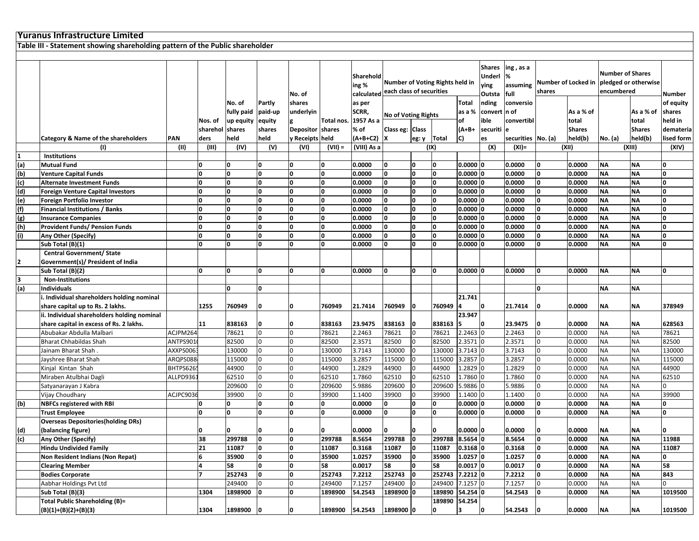|                         | <b>Yuranus Infrastructure Limited</b>                                        |          |                     |              |          |                  |            |                                  |                                                             |                |                                    |                                                                                  |              |                    |                     |                                                               |                        |                        |              |
|-------------------------|------------------------------------------------------------------------------|----------|---------------------|--------------|----------|------------------|------------|----------------------------------|-------------------------------------------------------------|----------------|------------------------------------|----------------------------------------------------------------------------------|--------------|--------------------|---------------------|---------------------------------------------------------------|------------------------|------------------------|--------------|
|                         | Table III - Statement showing shareholding pattern of the Public shareholder |          |                     |              |          |                  |            |                                  |                                                             |                |                                    |                                                                                  |              |                    |                     |                                                               |                        |                        |              |
|                         |                                                                              |          |                     |              |          |                  |            |                                  |                                                             |                |                                    |                                                                                  |              |                    |                     |                                                               |                        |                        |              |
|                         |                                                                              |          |                     |              |          | No. of           |            | Sharehold<br>ing %<br>calculated | Number of Voting Rights held in<br>each class of securities |                |                                    | <b>Shares</b><br>ing , as a<br>%<br>Underl<br>assuming<br>ying<br>full<br>Outsta |              | shares             | Number of Locked in | <b>Number of Shares</b><br>pledged or otherwise<br>encumbered | Number                 |                        |              |
|                         |                                                                              |          |                     | No. of       | Partly   | shares           |            | as per                           |                                                             |                |                                    | <b>Total</b>                                                                     | nding        | conversio          |                     |                                                               |                        |                        | of equity    |
|                         |                                                                              |          |                     | fully paid   | paid-up  | underlyin        |            | SCRR,                            |                                                             |                |                                    | as a %                                                                           | convert n of |                    |                     | As a % of                                                     |                        | As a % of              | shares       |
|                         |                                                                              |          | Nos. of             | up equity    | equity   |                  | Total nos. | 1957 As a                        | <b>No of Voting Rights</b>                                  |                |                                    | of                                                                               | ble          | convertibl         |                     | total                                                         |                        | total                  | held in      |
|                         |                                                                              |          | sharehol            | shares       | shares   | <b>Depositor</b> | shares     | % of                             | Class eg: Class                                             |                |                                    | $(A+B+$                                                                          | securiti e   |                    |                     | <b>Shares</b>                                                 |                        | <b>Shares</b>          | demateria    |
|                         | Category & Name of the shareholders                                          | PAN      | ders                | held         | held     | y Receipts held  |            | $(A+B+C2)$ X                     |                                                             | eg: y   Total  |                                    | C)                                                                               | es           | securities No. (a) |                     | held(b)                                                       | No. (a)                | held(b)                | lised form   |
|                         | (1)                                                                          | (II)     | (III)               | (IV)         | (V)      | (VI)             | $(VII) =$  | (VIII) As a                      |                                                             |                | (IX)                               |                                                                                  | (X)          | $(XI) =$           |                     | (XII)                                                         |                        | (XIII)                 | (XIV)        |
| 1                       | <b>Institutions</b>                                                          |          |                     |              |          |                  |            |                                  |                                                             |                |                                    |                                                                                  |              |                    |                     |                                                               |                        |                        |              |
| (a)                     | <b>Mutual Fund</b>                                                           |          | O                   | 0            | O        | 0                | O          | 0.0000                           | O                                                           | 0              | O                                  | 0.00000                                                                          |              | 0.0000             | 0                   | 0.0000                                                        | <b>NA</b>              | <b>NA</b>              | O            |
| (b)                     | <b>Venture Capital Funds</b>                                                 |          | <sup>0</sup>        | ۱o           | O        | O                | O          | 0.0000                           | 0                                                           | O              | O                                  | 0.00000                                                                          |              | 0.0000             |                     | 0.0000                                                        | <b>NA</b>              | <b>NA</b>              | $\mathbf{0}$ |
| (c)                     | <b>Alternate Investment Funds</b>                                            |          | 0                   | O            | O        | $\bf{0}$         | O          | 0.0000                           | 0                                                           | 0              | 0                                  | 0.00000                                                                          |              | 0.0000             |                     | 0.0000                                                        | <b>NA</b>              | <b>NA</b>              | $\bf{0}$     |
| (d)                     | <b>Foreign Venture Capital Investors</b>                                     |          | $\mathbf{0}$        | O            | O        | $\bf{0}$         | O          | 0.0000                           | 0                                                           | 0              | 0                                  | 0.00000                                                                          |              | 0.0000             |                     | 0.0000                                                        | <b>NA</b>              | <b>NA</b>              | O            |
| (e)                     | Foreign Portfolio Investor                                                   |          | <sup>0</sup>        | <b>l</b>     | n        | <sup>0</sup>     | O          | 0.0000                           | 0                                                           | O              | O                                  | 0.00000                                                                          |              | 0.0000             |                     | 0.0000                                                        | <b>NA</b>              | <b>NA</b>              | $\mathbf{0}$ |
| (f)                     | <b>Financial Institutions / Banks</b>                                        |          | 0                   | O            | <b>O</b> | O                | O          | 0.0000                           | 0                                                           | O              | 0                                  | 0.00000                                                                          |              | 0.0000             |                     | 0.0000                                                        | <b>NA</b>              | <b>NA</b>              | $\bf{0}$     |
| (g)                     | <b>Insurance Companies</b>                                                   |          | $\mathbf{0}$        | I٥           | <b>O</b> | O                | O          | 0.0000                           | 0                                                           | 0              | 0                                  | 0.00000                                                                          |              | 0.0000             |                     | 0.0000                                                        | <b>NA</b>              | <b>NA</b>              | O            |
| (h)                     | <b>Provident Funds/ Pension Funds</b>                                        |          | <sup>0</sup>        | ۱o           | n        | <sup>0</sup>     | O          | 0.0000                           | 0                                                           | O              | O                                  | 0.00000                                                                          |              | 0.0000             |                     | 0.0000                                                        | <b>NA</b>              | <b>NA</b>              | $\Omega$     |
| (i)                     | Any Other (Specify)                                                          |          | $\mathbf{0}$        | O            | <b>O</b> | O                | O          | 0.0000                           | 0                                                           | 0              | 0                                  | 0.0000                                                                           | 10           | 0.0000             |                     | 0.0000                                                        | <b>NA</b>              | <b>NA</b>              | O            |
|                         | Sub Total (B)(1)                                                             |          | <sup>0</sup>        | I٥           | <b>n</b> | $\mathbf{0}$     | O          | 0.0000                           | O                                                           | O              | $\Omega$                           | 0.00000                                                                          |              | 0.0000             |                     | 0.0000                                                        | <b>NA</b>              | <b>NA</b>              | $\mathbf{0}$ |
|                         | <b>Central Government/ State</b>                                             |          |                     |              |          |                  |            |                                  |                                                             |                |                                    |                                                                                  |              |                    |                     |                                                               |                        |                        |              |
| $\overline{\mathbf{2}}$ | Government(s)/ President of India                                            |          |                     |              |          |                  |            |                                  |                                                             |                |                                    |                                                                                  |              |                    |                     |                                                               |                        |                        |              |
|                         | Sub Total (B)(2)                                                             |          | <sup>0</sup>        | O            | O        | <sup>0</sup>     | O          | 0.0000                           | 0                                                           | O              | O                                  | 0.00000                                                                          |              | 0.0000             | I٥                  | 0.0000                                                        | <b>NA</b>              | <b>NA</b>              | O            |
| 3                       | <b>Non-Institutions</b>                                                      |          |                     |              |          |                  |            |                                  |                                                             |                |                                    |                                                                                  |              |                    |                     |                                                               |                        |                        |              |
| (a)                     | <b>Individuals</b>                                                           |          |                     | $\mathbf{0}$ | O        |                  |            |                                  |                                                             |                |                                    |                                                                                  |              |                    | I٥                  |                                                               | <b>NA</b>              | <b>NA</b>              |              |
|                         | i. Individual shareholders holding nominal                                   |          |                     |              |          |                  |            |                                  |                                                             |                |                                    | 21.741                                                                           |              |                    |                     |                                                               |                        |                        |              |
|                         | share capital up to Rs. 2 lakhs.                                             |          | 1255                | 760949       | n        | n                | 760949     | 21.7414                          | 760949                                                      | O              | 760949                             | 14                                                                               | n            | 21.7414            |                     | 0.0000                                                        | NA                     | <b>NA</b>              | 378949       |
|                         | ii. Individual shareholders holding nominal                                  |          |                     |              |          |                  |            |                                  |                                                             |                |                                    | 23.947                                                                           |              |                    |                     |                                                               |                        |                        |              |
|                         | share capital in excess of Rs. 2 lakhs.                                      |          | 11                  | 838163       |          | 0                | 838163     | 23.9475                          | 838163                                                      | 0              | 838163                             | 15                                                                               | O            | 23.9475            |                     | 0.0000                                                        | NA                     | <b>NA</b>              | 628563       |
|                         | Abubakar Abdulla Malbari                                                     | ACJPM264 |                     | 78621        |          | $\Omega$         | 78621      | 2.2463                           | 78621                                                       | $\overline{0}$ | 78621                              | 2.2463 0                                                                         |              | 2.2463             |                     | 0.0000                                                        | <b>NA</b>              | <b>NA</b>              | 78621        |
|                         | Bharat Chhabildas Shah                                                       | ANTPS901 |                     | 82500        |          | $\overline{0}$   | 82500      | 2.3571                           | 82500                                                       | $\overline{0}$ | 82500                              | 2.3571 0                                                                         |              | 2.3571             |                     | 0.0000                                                        | <b>NA</b>              | <b>NA</b>              | 82500        |
|                         | Jainam Bharat Shah.                                                          | AXXPS006 |                     | 130000       |          | $\Omega$         | 130000     | 3.7143                           | 130000                                                      | 0              | 130000                             | 3.7143 0                                                                         |              | 3.7143             |                     | 0.0000                                                        | <b>NA</b>              | <b>NA</b>              | 130000       |
|                         | Jayshree Bharat Shah                                                         | ARQPS088 |                     | 115000       |          | $\Omega$         | 115000     | 3.2857                           | 115000                                                      | 0              | 115000                             | 3.2857                                                                           | I٥           | 3.2857             |                     | 0.0000                                                        | <b>NA</b>              | <b>NA</b>              | 115000       |
|                         | Kinjal Kintan Shah                                                           | BHTPS626 |                     | 44900        |          | $\overline{0}$   | 44900      | 1.2829                           | 44900                                                       | $\overline{0}$ | 44900                              | 1.2829 0                                                                         |              | 1.2829             |                     | 0.0000                                                        | NΑ                     | <b>NA</b>              | 44900        |
|                         | Miraben Atulbhai Dagli                                                       | ALLPD936 |                     | 62510        |          | $\Omega$         | 62510      | 1.7860                           | 62510                                                       | $\overline{0}$ | 62510                              | 1.7860 0                                                                         |              | 1.7860             |                     | 0.0000                                                        | <b>NA</b>              | <b>NA</b>              | 62510        |
|                         | Satyanarayan J Kabra                                                         |          |                     | 209600       |          | $\Omega$         | 209600     | 5.9886                           | 209600                                                      | $\overline{0}$ | 209600                             | 5.9886                                                                           | $\Omega$     | 5.9886             |                     | 0.0000                                                        | NΑ                     | <b>NA</b>              | $\Omega$     |
|                         | Vijay Choudhary                                                              | ACJPC903 |                     | 39900        |          | $\overline{0}$   | 39900      | 1.1400                           | 39900                                                       | $\overline{0}$ | 39900                              | 1.1400 0                                                                         |              | 1.1400             |                     | 0.0000                                                        | NΑ                     | <b>NA</b>              | 39900        |
| (b)                     | <b>NBFCs registered with RBI</b>                                             |          | <sup>0</sup>        | 0            | O        | O                | O          | 0.0000                           | 0                                                           | O              | 0                                  | 0.0000 0                                                                         |              | 0.0000             |                     | 0.0000                                                        | <b>NA</b>              | <b>NA</b>              | 0            |
|                         | <b>Trust Employee</b>                                                        |          | n                   | ۱o           | <b>n</b> | n                | O          | 0.0000                           |                                                             | O              | $\Omega$                           | 0.00000                                                                          |              | 0.0000             |                     | 0.0000                                                        | <b>NA</b>              | <b>NA</b>              | $\mathbf{0}$ |
|                         | <b>Overseas Depositories (holding DRs)</b>                                   |          |                     |              |          |                  |            |                                  |                                                             |                |                                    |                                                                                  |              |                    |                     |                                                               |                        |                        |              |
| (d)                     | (balancing figure)                                                           |          | O                   | O            |          | 0                | O          | 0.0000                           | O                                                           | IО             |                                    | 0.0000 0                                                                         |              | 0.0000             |                     | 0.0000                                                        | ΙNΑ.                   | NA                     | 0            |
| (c)                     | Any Other (Specify)                                                          |          | 38                  | 299788       | O        | O                | 299788     | 8.5654                           | 299788                                                      | 0              | 299788 8.5654 0                    |                                                                                  |              | 8.5654             | ١o                  | 0.0000                                                        | <b>NA</b>              | <b>NA</b>              | 11988        |
|                         | <b>Hindu Undivided Family</b>                                                |          | 21                  | 11087        |          | O                | 11087      | 0.3168                           | 11087                                                       | 0              | 11087                              | $0.3168$ 0                                                                       |              | 0.3168             |                     | 0.0000                                                        | ΝA                     | <b>NA</b>              | 11087        |
|                         | Non Resident Indians (Non Repat)                                             |          | 6<br>$\overline{a}$ | 35900        | 0        | O                | 35900      | 1.0257                           | 35900                                                       | O              | 35900                              | $1.0257$ 0                                                                       |              | 1.0257             | ١o                  | 0.0000                                                        | <b>NA</b>              | <b>NA</b>              | 0            |
|                         | <b>Clearing Member</b>                                                       |          | $\overline{ }$      | 58           | O        | $\mathbf{0}$     | 58         | 0.0017                           | 58                                                          | I٥             | 58                                 | $0.0017$ 0                                                                       |              | 0.0017             |                     | 0.0000                                                        | <b>NA</b>              | <b>NA</b>              | 58           |
|                         | <b>Bodies Corporate</b>                                                      |          |                     | 252743       |          | O                | 252743     | 7.2212                           | 252743                                                      | 0              | 252743 7.2212 0                    |                                                                                  |              | 7.2212             |                     | 0.0000                                                        | <b>NA</b>              | <b>NA</b>              | 843          |
|                         | Aabhar Holdings Pvt Ltd                                                      |          |                     | 249400       |          | $\Omega$<br>O    | 249400     | 7.1257                           | 249400                                                      | 10             | 249400 7.1257 0<br>189890 54.254 0 |                                                                                  |              | 7.1257<br>54.2543  |                     | 0.0000                                                        | <b>NA</b><br><b>NA</b> | <b>NA</b><br><b>NA</b> | 0<br>1019500 |
|                         | Sub Total (B)(3)<br>Total Public Shareholding (B)=                           |          | 1304                | 1898900      |          |                  | 1898900    | 54.2543                          | 1898900 0                                                   |                | 189890 54.254                      |                                                                                  |              |                    |                     | 0.0000                                                        |                        |                        |              |
|                         |                                                                              |          | 1304                | 1898900      | 10       | 0                | 1898900    | 54.2543                          | 1898900 0                                                   |                | 0                                  |                                                                                  | 0            | 54.2543            |                     | 0.0000                                                        | <b>NA</b>              | <b>NA</b>              | 1019500      |
|                         | $(B)(1)+(B)(2)+(B)(3)$                                                       |          |                     |              |          |                  |            |                                  |                                                             |                |                                    | 3                                                                                |              |                    |                     |                                                               |                        |                        |              |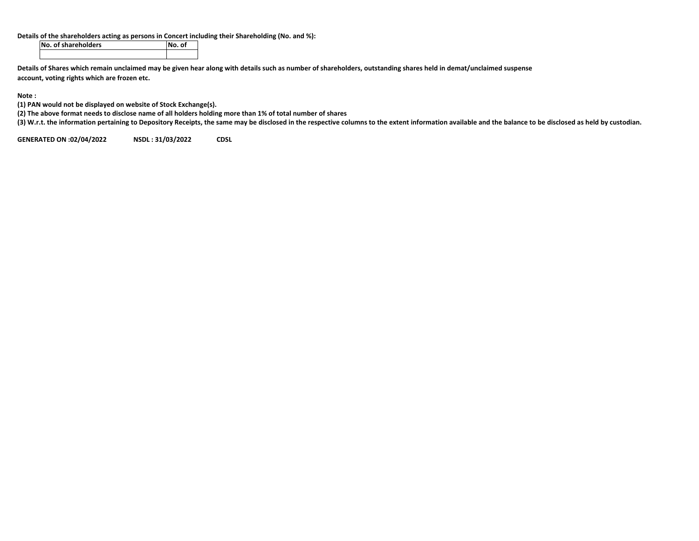## **Details of the shareholders acting as persons in Concert including their Shareholding (No. and %):**

**No. of shareholders No. of**

Details of Shares which remain unclaimed may be given hear along with details such as number of shareholders, outstanding shares held in demat/unclaimed suspense **account, voting rights which are frozen etc.**

**Note :**

**(1) PAN would not be displayed on website of Stock Exchange(s).**

(2) The above format needs to disclose name of all holders holding more than 1% of total number of shares

(3) W.r.t. the information pertaining to Depository Receipts, the same may be disclosed in the respective columns to the extent information available and the balance to be disclosed as held by custodian.

**GENERATED ON:02/04/2022 NSDL : 31/03/2022 CDSL**